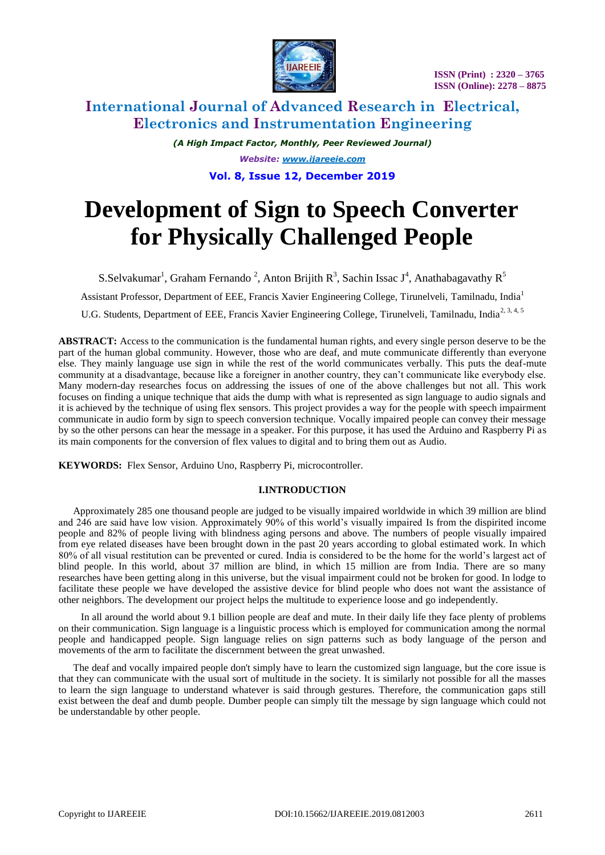

# **International Journal of Advanced Research in Electrical, Electronics and Instrumentation Engineering**

*(A High Impact Factor, Monthly, Peer Reviewed Journal) Website: [www.ijareeie.com](http://www.ijareeie.com/)* **Vol. 8, Issue 12, December 2019**

# **Development of Sign to Speech Converter for Physically Challenged People**

S.Selvakumar<sup>1</sup>, Graham Fernando<sup>2</sup>, Anton Brijith R<sup>3</sup>, Sachin Issac J<sup>4</sup>, Anathabagavathy R<sup>5</sup>

Assistant Professor, Department of EEE, Francis Xavier Engineering College, Tirunelveli, Tamilnadu, India<sup>1</sup>

U.G. Students, Department of EEE, Francis Xavier Engineering College, Tirunelveli, Tamilnadu, India<sup>2, 3, 4, 5</sup>

**ABSTRACT:** Access to the communication is the fundamental human rights, and every single person deserve to be the part of the human global community. However, those who are deaf, and mute communicate differently than everyone else. They mainly language use sign in while the rest of the world communicates verbally. This puts the deaf-mute community at a disadvantage, because like a foreigner in another country, they can't communicate like everybody else. Many modern-day researches focus on addressing the issues of one of the above challenges but not all. This work focuses on finding a unique technique that aids the dump with what is represented as sign language to audio signals and it is achieved by the technique of using flex sensors. This project provides a way for the people with speech impairment communicate in audio form by sign to speech conversion technique. Vocally impaired people can convey their message by so the other persons can hear the message in a speaker. For this purpose, it has used the Arduino and Raspberry Pi as its main components for the conversion of flex values to digital and to bring them out as Audio.

**KEYWORDS:** Flex Sensor, Arduino Uno, Raspberry Pi, microcontroller.

# **I.INTRODUCTION**

Approximately 285 one thousand people are judged to be visually impaired worldwide in which 39 million are blind and 246 are said have low vision. Approximately 90% of this world's visually impaired Is from the dispirited income people and 82% of people living with blindness aging persons and above. The numbers of people visually impaired from eye related diseases have been brought down in the past 20 years according to global estimated work. In which 80% of all visual restitution can be prevented or cured. India is considered to be the home for the world's largest act of blind people. In this world, about 37 million are blind, in which 15 million are from India. There are so many researches have been getting along in this universe, but the visual impairment could not be broken for good. In lodge to facilitate these people we have developed the assistive device for blind people who does not want the assistance of other neighbors. The development our project helps the multitude to experience loose and go independently.

In all around the world about 9.1 billion people are deaf and mute. In their daily life they face plenty of problems on their communication. Sign language is a linguistic process which is employed for communication among the normal people and handicapped people. Sign language relies on sign patterns such as body language of the person and movements of the arm to facilitate the discernment between the great unwashed.

The deaf and vocally impaired people don't simply have to learn the customized sign language, but the core issue is that they can communicate with the usual sort of multitude in the society. It is similarly not possible for all the masses to learn the sign language to understand whatever is said through gestures. Therefore, the communication gaps still exist between the deaf and dumb people. Dumber people can simply tilt the message by sign language which could not be understandable by other people.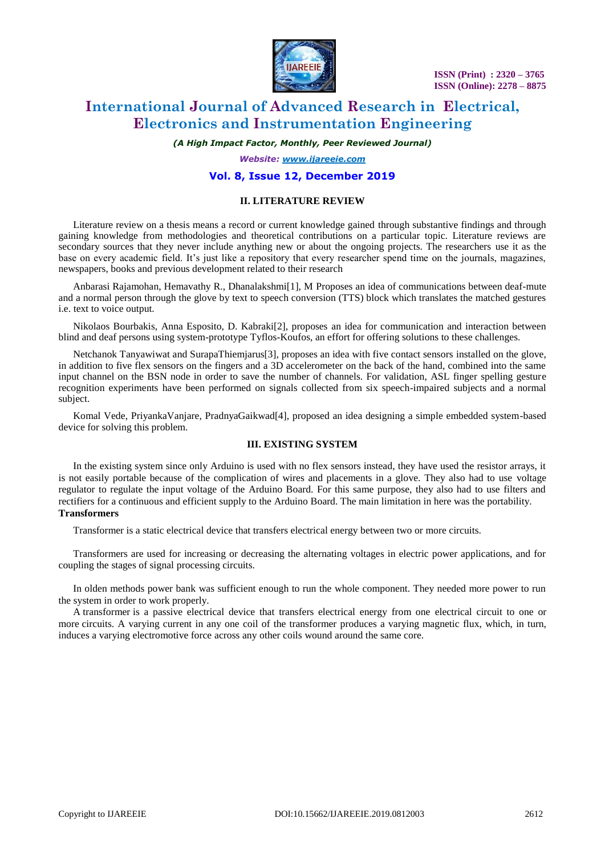

# **International Journal of Advanced Research in Electrical, Electronics and Instrumentation Engineering**

*(A High Impact Factor, Monthly, Peer Reviewed Journal)*

*Website: [www.ijareeie.com](http://www.ijareeie.com/)*

## **Vol. 8, Issue 12, December 2019**

#### **II. LITERATURE REVIEW**

Literature review on a thesis means a record or current knowledge gained through substantive findings and through gaining knowledge from methodologies and theoretical contributions on a particular topic. Literature reviews are secondary sources that they never include anything new or about the ongoing projects. The researchers use it as the base on every academic field. It's just like a repository that every researcher spend time on the journals, magazines, newspapers, books and previous development related to their research

Anbarasi Rajamohan, Hemavathy R., Dhanalakshmi[1], M Proposes an idea of communications between deaf-mute and a normal person through the glove by text to speech conversion (TTS) block which translates the matched gestures i.e. text to voice output.

Nikolaos Bourbakis, Anna Esposito, D. Kabraki[2], proposes an idea for communication and interaction between blind and deaf persons using system-prototype Tyflos-Koufos, an effort for offering solutions to these challenges.

Netchanok Tanyawiwat and SurapaThiemjarus[3], proposes an idea with five contact sensors installed on the glove, in addition to five flex sensors on the fingers and a 3D accelerometer on the back of the hand, combined into the same input channel on the BSN node in order to save the number of channels. For validation, ASL finger spelling gesture recognition experiments have been performed on signals collected from six speech-impaired subjects and a normal subject.

Komal Vede, PriyankaVanjare, PradnyaGaikwad[4], proposed an idea designing a simple embedded system-based device for solving this problem.

#### **III. EXISTING SYSTEM**

In the existing system since only Arduino is used with no flex sensors instead, they have used the resistor arrays, it is not easily portable because of the complication of wires and placements in a glove. They also had to use voltage regulator to regulate the input voltage of the Arduino Board. For this same purpose, they also had to use filters and rectifiers for a continuous and efficient supply to the Arduino Board. The main limitation in here was the portability. **Transformers**

Transformer is a static electrical device that transfers electrical energy between two or more circuits.

Transformers are used for increasing or decreasing the alternating voltages in electric power applications, and for coupling the stages of signal processing circuits.

In olden methods power bank was sufficient enough to run the whole component. They needed more power to run the system in order to work properly.

A transformer is a passive electrical device that transfers electrical energy from one electrical circuit to one or more [circuits.](https://en.wikipedia.org/wiki/Electrical_network) A varying current in any one coil of the transformer produces a varying [magnetic flux,](https://en.wikipedia.org/wiki/Magnetic_flux) which, in turn, induces a varying [electromotive force](https://en.wikipedia.org/wiki/Electromotive_force) across any other coils wound around the same core.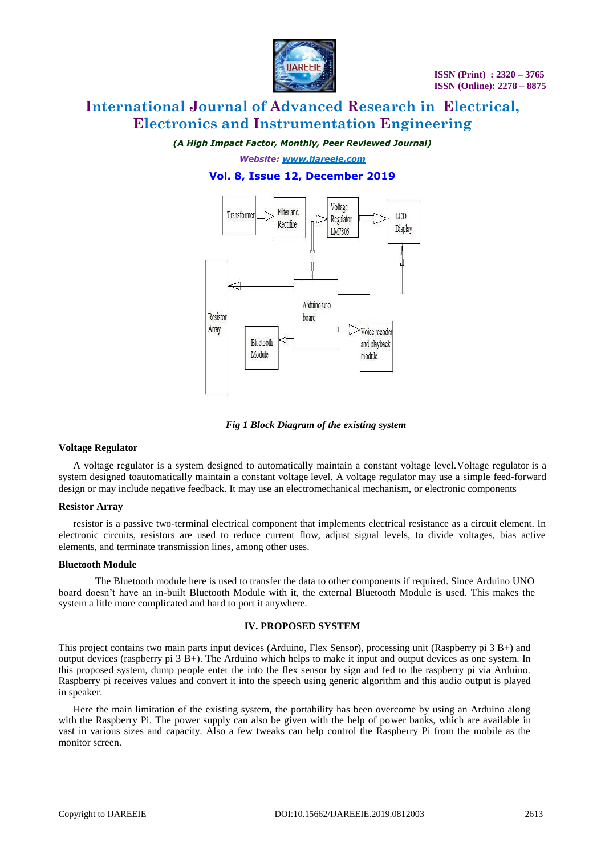

# **International Journal of Advanced Research in Electrical, Electronics and Instrumentation Engineering**

*(A High Impact Factor, Monthly, Peer Reviewed Journal)*

*Website: [www.ijareeie.com](http://www.ijareeie.com/)* **Vol. 8, Issue 12, December 2019**



*Fig 1 Block Diagram of the existing system*

## **Voltage Regulator**

A voltage regulator is a system designed to automatically maintain a constant voltage level.Voltage regulator is a system designed toautomatically maintain a constant voltage level. A voltage regulator may use a simple feed-forward design or may include negative feedback. It may use an electromechanical mechanism, or electronic components

## **Resistor Array**

resistor is a passive two-terminal electrical component that implements electrical resistance as a circuit element. In electronic circuits, resistors are used to reduce current flow, adjust signal levels, to divide voltages, bias active elements, and terminate transmission lines, among other uses.

#### **Bluetooth Module**

The Bluetooth module here is used to transfer the data to other components if required. Since Arduino UNO board doesn't have an in-built Bluetooth Module with it, the external Bluetooth Module is used. This makes the system a litle more complicated and hard to port it anywhere.

## **IV. PROPOSED SYSTEM**

This project contains two main parts input devices (Arduino, Flex Sensor), processing unit (Raspberry pi 3 B+) and output devices (raspberry pi 3 B+). The Arduino which helps to make it input and output devices as one system. In this proposed system, dump people enter the into the flex sensor by sign and fed to the raspberry pi via Arduino. Raspberry pi receives values and convert it into the speech using generic algorithm and this audio output is played in speaker.

Here the main limitation of the existing system, the portability has been overcome by using an Arduino along with the Raspberry Pi. The power supply can also be given with the help of power banks, which are available in vast in various sizes and capacity. Also a few tweaks can help control the Raspberry Pi from the mobile as the monitor screen.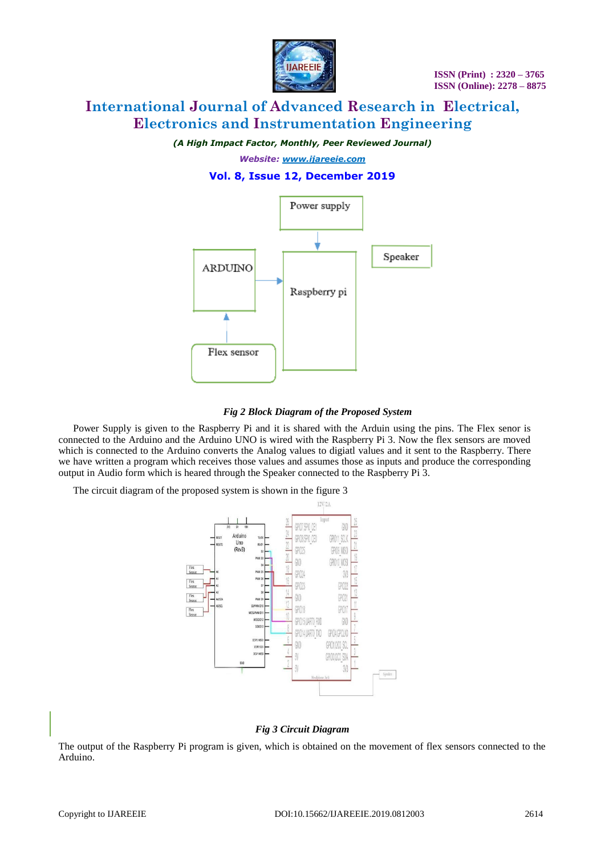

# **International Journal of Advanced Research in Electrical, Electronics and Instrumentation Engineering**

*(A High Impact Factor, Monthly, Peer Reviewed Journal)*

# *Website: [www.ijareeie.com](http://www.ijareeie.com/)* **Vol. 8, Issue 12, December 2019**





Power Supply is given to the Raspberry Pi and it is shared with the Arduin using the pins. The Flex senor is connected to the Arduino and the Arduino UNO is wired with the Raspberry Pi 3. Now the flex sensors are moved which is connected to the Arduino converts the Analog values to digiatl values and it sent to the Raspberry. There we have written a program which receives those values and assumes those as inputs and produce the corresponding output in Audio form which is heared through the Speaker connected to the Raspberry Pi 3.

The circuit diagram of the proposed system is shown in the figure 3



# *Fig 3 Circuit Diagram*

The output of the Raspberry Pi program is given, which is obtained on the movement of flex sensors connected to the Arduino.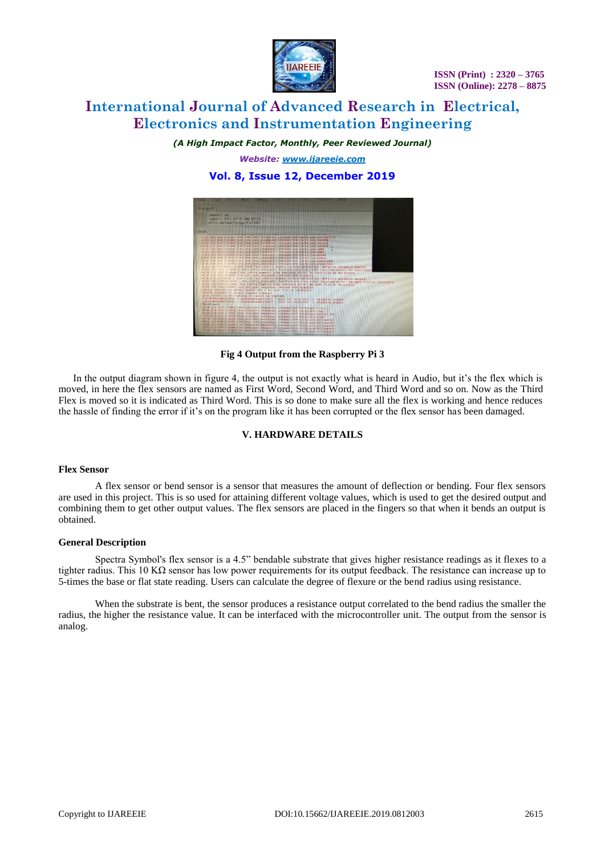

# **International Journal of Advanced Research in Electrical, Electronics and Instrumentation Engineering**

*(A High Impact Factor, Monthly, Peer Reviewed Journal)*

*Website: [www.ijareeie.com](http://www.ijareeie.com/)* **Vol. 8, Issue 12, December 2019**



## **Fig 4 Output from the Raspberry Pi 3**

In the output diagram shown in figure 4, the output is not exactly what is heard in Audio, but it's the flex which is moved, in here the flex sensors are named as First Word, Second Word, and Third Word and so on. Now as the Third Flex is moved so it is indicated as Third Word. This is so done to make sure all the flex is working and hence reduces the hassle of finding the error if it's on the program like it has been corrupted or the flex sensor has been damaged.

## **V. HARDWARE DETAILS**

#### **Flex Sensor**

A flex sensor or bend sensor is a sensor that measures the amount of deflection or bending. Four flex sensors are used in this project. This is so used for attaining different voltage values, which is used to get the desired output and combining them to get other output values. The flex sensors are placed in the fingers so that when it bends an output is obtained.

## **General Description**

Spectra Symbol's flex sensor is a 4.5" bendable substrate that gives higher resistance readings as it flexes to a tighter radius. This 10 K $\Omega$  sensor has low power requirements for its output feedback. The resistance can increase up to 5-times the base or flat state reading. Users can calculate the degree of flexure or the bend radius using resistance.

When the substrate is bent, the sensor produces a resistance output correlated to the bend radius the smaller the radius, the higher the resistance value. It can be interfaced with the microcontroller unit. The output from the sensor is analog.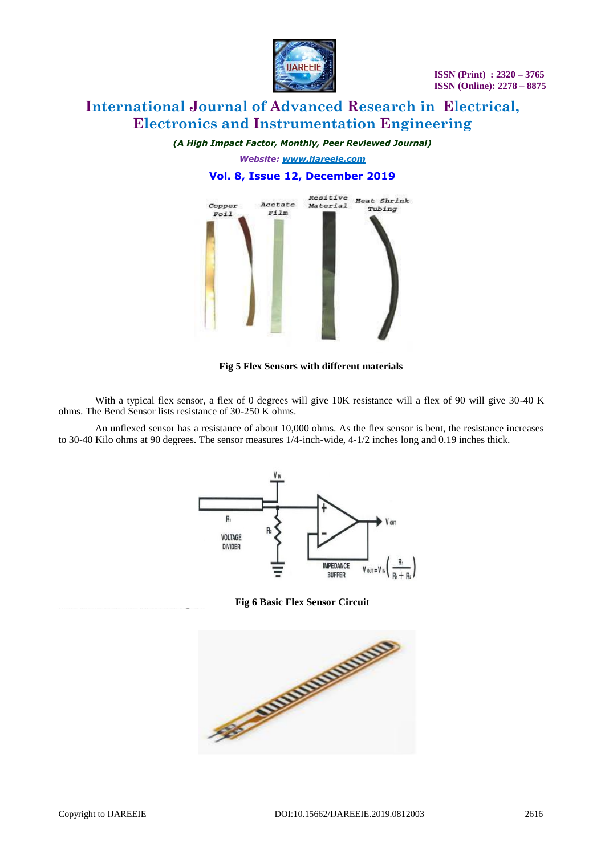

# **International Journal of Advanced Research in Electrical, Electronics and Instrumentation Engineering**

*(A High Impact Factor, Monthly, Peer Reviewed Journal)*

*Website: [www.ijareeie.com](http://www.ijareeie.com/)* **Vol. 8, Issue 12, December 2019**



## **Fig 5 Flex Sensors with different materials**

With a typical flex sensor, a flex of 0 degrees will give 10K resistance will a flex of 90 will give 30-40 K ohms. The Bend Sensor lists resistance of 30-250 K ohms.

An unflexed sensor has a resistance of about 10,000 ohms. As the flex sensor is bent, the resistance increases to 30-40 Kilo ohms at 90 degrees. The sensor measures 1/4-inch-wide, 4-1/2 inches long and 0.19 inches thick.



**Fig 6 Basic Flex Sensor Circuit**

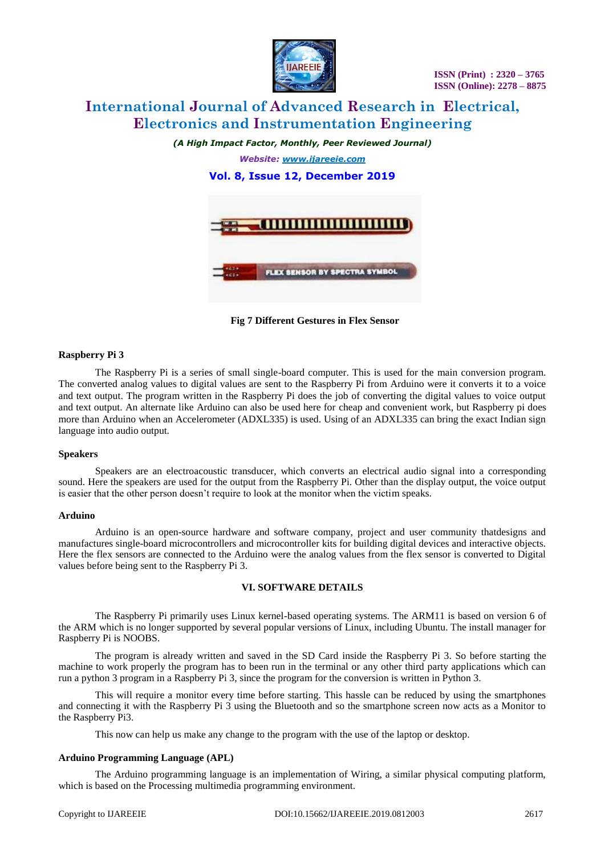

# **International Journal of Advanced Research in Electrical, Electronics and Instrumentation Engineering**

*(A High Impact Factor, Monthly, Peer Reviewed Journal)*

*Website: [www.ijareeie.com](http://www.ijareeie.com/)* **Vol. 8, Issue 12, December 2019**



**Fig 7 Different Gestures in Flex Sensor**

#### **Raspberry Pi 3**

The Raspberry Pi is a series of small single-board computer. This is used for the main conversion program. The converted analog values to digital values are sent to the Raspberry Pi from Arduino were it converts it to a voice and text output. The program written in the Raspberry Pi does the job of converting the digital values to voice output and text output. An alternate like Arduino can also be used here for cheap and convenient work, but Raspberry pi does more than Arduino when an Accelerometer (ADXL335) is used. Using of an ADXL335 can bring the exact Indian sign language into audio output.

#### **Speakers**

Speakers are an electroacoustic transducer, which converts an electrical audio signal into a corresponding sound. Here the speakers are used for the output from the Raspberry Pi. Other than the display output, the voice output is easier that the other person doesn't require to look at the monitor when the victim speaks.

#### **Arduino**

Arduino is an open-source hardware and software company, project and user community thatdesigns and manufactures single-board microcontrollers and microcontroller kits for building digital devices and interactive objects. Here the flex sensors are connected to the Arduino were the analog values from the flex sensor is converted to Digital values before being sent to the Raspberry Pi 3.

### **VI. SOFTWARE DETAILS**

The Raspberry Pi primarily uses Linux kernel-based operating systems. The ARM11 is based on version 6 of the ARM which is no longer supported by several popular versions of Linux, including Ubuntu. The install manager for Raspberry Pi is NOOBS.

The program is already written and saved in the SD Card inside the Raspberry Pi 3. So before starting the machine to work properly the program has to been run in the terminal or any other third party applications which can run a python 3 program in a Raspberry Pi 3, since the program for the conversion is written in Python 3.

This will require a monitor every time before starting. This hassle can be reduced by using the smartphones and connecting it with the Raspberry Pi 3 using the Bluetooth and so the smartphone screen now acts as a Monitor to the Raspberry Pi3.

This now can help us make any change to the program with the use of the laptop or desktop.

#### **Arduino Programming Language (APL)**

The Arduino programming language is an implementation of Wiring, a similar physical computing platform, which is based on the Processing multimedia programming environment.